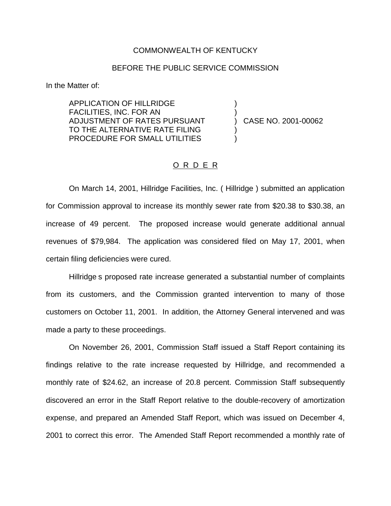### COMMONWEALTH OF KENTUCKY

### BEFORE THE PUBLIC SERVICE COMMISSION

) )

) )

In the Matter of:

APPLICATION OF HILLRIDGE FACILITIES, INC. FOR AN ADJUSTMENT OF RATES PURSUANT TO THE ALTERNATIVE RATE FILING PROCEDURE FOR SMALL UTILITIES

) CASE NO. 2001-00062

## O R D E R

On March 14, 2001, Hillridge Facilities, Inc. ( Hillridge ) submitted an application for Commission approval to increase its monthly sewer rate from \$20.38 to \$30.38, an increase of 49 percent. The proposed increase would generate additional annual revenues of \$79,984. The application was considered filed on May 17, 2001, when certain filing deficiencies were cured.

Hillridge s proposed rate increase generated a substantial number of complaints from its customers, and the Commission granted intervention to many of those customers on October 11, 2001. In addition, the Attorney General intervened and was made a party to these proceedings.

On November 26, 2001, Commission Staff issued a Staff Report containing its findings relative to the rate increase requested by Hillridge, and recommended a monthly rate of \$24.62, an increase of 20.8 percent. Commission Staff subsequently discovered an error in the Staff Report relative to the double-recovery of amortization expense, and prepared an Amended Staff Report, which was issued on December 4, 2001 to correct this error. The Amended Staff Report recommended a monthly rate of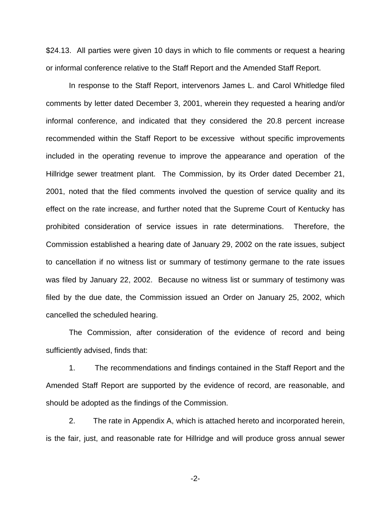\$24.13. All parties were given 10 days in which to file comments or request a hearing or informal conference relative to the Staff Report and the Amended Staff Report.

In response to the Staff Report, intervenors James L. and Carol Whitledge filed comments by letter dated December 3, 2001, wherein they requested a hearing and/or informal conference, and indicated that they considered the 20.8 percent increase recommended within the Staff Report to be excessive without specific improvements included in the operating revenue to improve the appearance and operation of the Hillridge sewer treatment plant. The Commission, by its Order dated December 21, 2001, noted that the filed comments involved the question of service quality and its effect on the rate increase, and further noted that the Supreme Court of Kentucky has prohibited consideration of service issues in rate determinations. Therefore, the Commission established a hearing date of January 29, 2002 on the rate issues, subject to cancellation if no witness list or summary of testimony germane to the rate issues was filed by January 22, 2002. Because no witness list or summary of testimony was filed by the due date, the Commission issued an Order on January 25, 2002, which cancelled the scheduled hearing.

The Commission, after consideration of the evidence of record and being sufficiently advised, finds that:

1. The recommendations and findings contained in the Staff Report and the Amended Staff Report are supported by the evidence of record, are reasonable, and should be adopted as the findings of the Commission.

2. The rate in Appendix A, which is attached hereto and incorporated herein, is the fair, just, and reasonable rate for Hillridge and will produce gross annual sewer

-2-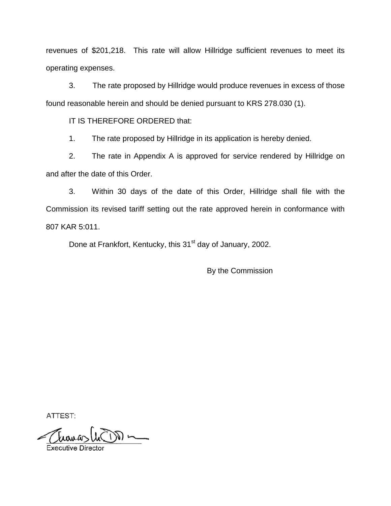revenues of \$201,218. This rate will allow Hillridge sufficient revenues to meet its operating expenses.

3. The rate proposed by Hillridge would produce revenues in excess of those found reasonable herein and should be denied pursuant to KRS 278.030 (1).

IT IS THEREFORE ORDERED that:

1. The rate proposed by Hillridge in its application is hereby denied.

2. The rate in Appendix A is approved for service rendered by Hillridge on and after the date of this Order.

3. Within 30 days of the date of this Order, Hillridge shall file with the Commission its revised tariff setting out the rate approved herein in conformance with 807 KAR 5:011.

Done at Frankfort, Kentucky, this 31<sup>st</sup> day of January, 2002.

By the Commission

ATTEST: